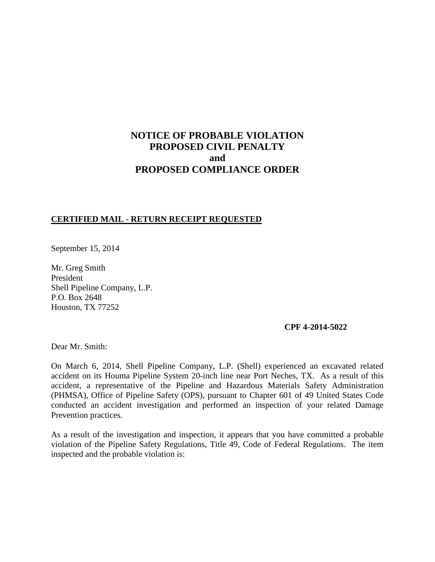# **NOTICE OF PROBABLE VIOLATION PROPOSED CIVIL PENALTY and PROPOSED COMPLIANCE ORDER**

### **CERTIFIED MAIL - RETURN RECEIPT REQUESTED**

September 15, 2014

Mr. Greg Smith President Shell Pipeline Company, L.P. P.O. Box 2648 Houston, TX 77252

### **CPF 4-2014-5022**

Dear Mr. Smith:

On March 6, 2014, Shell Pipeline Company, L.P. (Shell) experienced an excavated related accident on its Houma Pipeline System 20-inch line near Port Neches, TX. As a result of this accident, a representative of the Pipeline and Hazardous Materials Safety Administration (PHMSA), Office of Pipeline Safety (OPS), pursuant to Chapter 601 of 49 United States Code conducted an accident investigation and performed an inspection of your related Damage Prevention practices.

As a result of the investigation and inspection, it appears that you have committed a probable violation of the Pipeline Safety Regulations, Title 49, Code of Federal Regulations. The item inspected and the probable violation is: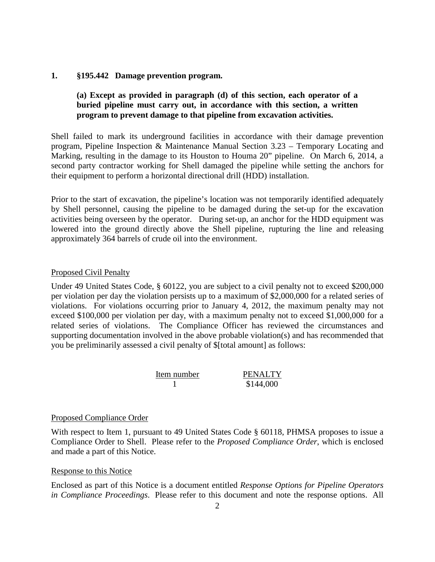### **1. §195.442 Damage prevention program.**

### **(a) Except as provided in paragraph (d) of this section, each operator of a buried pipeline must carry out, in accordance with this section, a written program to prevent damage to that pipeline from excavation activities.**

Shell failed to mark its underground facilities in accordance with their damage prevention program, Pipeline Inspection & Maintenance Manual Section 3.23 – Temporary Locating and Marking, resulting in the damage to its Houston to Houma 20" pipeline. On March 6, 2014, a second party contractor working for Shell damaged the pipeline while setting the anchors for their equipment to perform a horizontal directional drill (HDD) installation.

Prior to the start of excavation, the pipeline's location was not temporarily identified adequately by Shell personnel, causing the pipeline to be damaged during the set-up for the excavation activities being overseen by the operator. During set-up, an anchor for the HDD equipment was lowered into the ground directly above the Shell pipeline, rupturing the line and releasing approximately 364 barrels of crude oil into the environment.

### Proposed Civil Penalty

Under 49 United States Code, § 60122, you are subject to a civil penalty not to exceed \$200,000 per violation per day the violation persists up to a maximum of \$2,000,000 for a related series of violations. For violations occurring prior to January 4, 2012, the maximum penalty may not exceed \$100,000 per violation per day, with a maximum penalty not to exceed \$1,000,000 for a related series of violations. The Compliance Officer has reviewed the circumstances and supporting documentation involved in the above probable violation(s) and has recommended that you be preliminarily assessed a civil penalty of \$[total amount] as follows:

| Item number | <b>PENALTY</b> |
|-------------|----------------|
|             | \$144,000      |

### Proposed Compliance Order

With respect to Item 1, pursuant to 49 United States Code § 60118, PHMSA proposes to issue a Compliance Order to Shell. Please refer to the *Proposed Compliance Order*, which is enclosed and made a part of this Notice.

### Response to this Notice

Enclosed as part of this Notice is a document entitled *Response Options for Pipeline Operators in Compliance Proceedings*. Please refer to this document and note the response options. All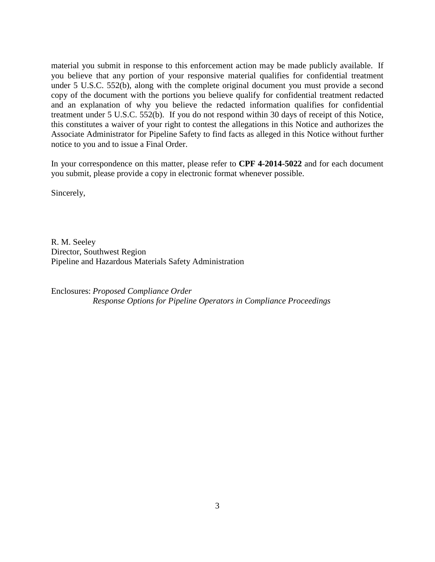material you submit in response to this enforcement action may be made publicly available. If you believe that any portion of your responsive material qualifies for confidential treatment under 5 U.S.C. 552(b), along with the complete original document you must provide a second copy of the document with the portions you believe qualify for confidential treatment redacted and an explanation of why you believe the redacted information qualifies for confidential treatment under 5 U.S.C. 552(b). If you do not respond within 30 days of receipt of this Notice, this constitutes a waiver of your right to contest the allegations in this Notice and authorizes the Associate Administrator for Pipeline Safety to find facts as alleged in this Notice without further notice to you and to issue a Final Order.

In your correspondence on this matter, please refer to **CPF 4-2014-5022** and for each document you submit, please provide a copy in electronic format whenever possible.

Sincerely,

R. M. Seeley Director, Southwest Region Pipeline and Hazardous Materials Safety Administration

Enclosures: *Proposed Compliance Order Response Options for Pipeline Operators in Compliance Proceedings*